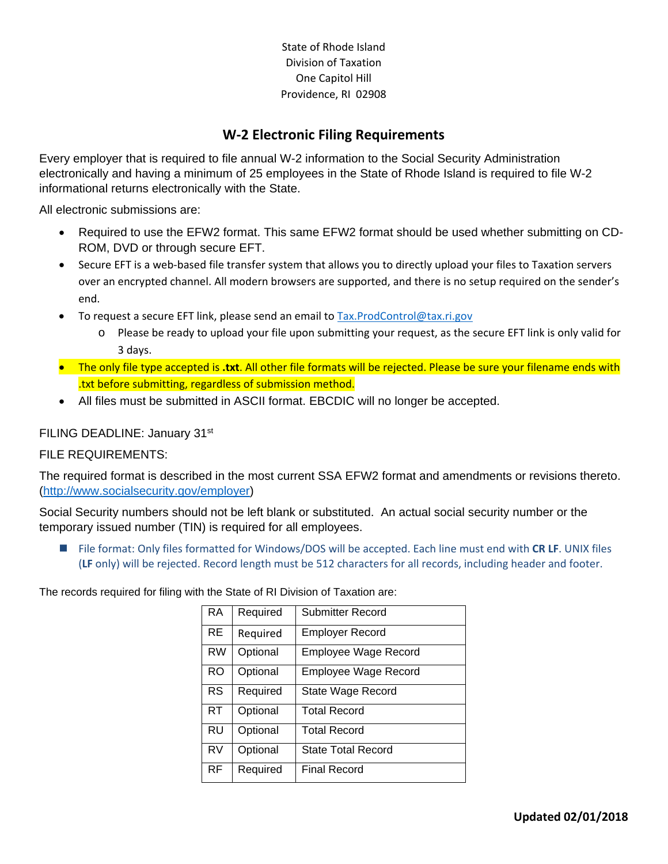State of Rhode Island Division of Taxation One Capitol Hill Providence, RI 02908

# **W‐2 Electronic Filing Requirements**

Every employer that is required to file annual W-2 information to the Social Security Administration electronically and having a minimum of 25 employees in the State of Rhode Island is required to file W-2 informational returns electronically with the State.

All electronic submissions are:

- Required to use the EFW2 format. This same EFW2 format should be used whether submitting on CD-ROM, DVD or through secure EFT.
- Secure EFT is a web-based file transfer system that allows you to directly upload your files to Taxation servers over an encrypted channel. All modern browsers are supported, and there is no setup required on the sender's end.
- To request a secure EFT link, please send an email to Tax.ProdControl@tax.ri.gov
	- o Please be ready to upload your file upon submitting your request, as the secure EFT link is only valid for 3 days.
- The only file type accepted is **.txt**. All other file formats will be rejected. Please be sure your filename ends with .txt before submitting, regardless of submission method.
- All files must be submitted in ASCII format. EBCDIC will no longer be accepted.

### FILING DEADLINE: January 31st

#### FILE REQUIREMENTS:

The required format is described in the most current SSA EFW2 format and amendments or revisions thereto. (http://www.socialsecurity.gov/employer)

Social Security numbers should not be left blank or substituted. An actual social security number or the temporary issued number (TIN) is required for all employees.

 File format: Only files formatted for Windows/DOS will be accepted. Each line must end with **CR LF**. UNIX files (**LF** only) will be rejected. Record length must be 512 characters for all records, including header and footer.

The records required for filing with the State of RI Division of Taxation are:

| <b>RA</b> | Required | Submitter Record            |
|-----------|----------|-----------------------------|
| <b>RE</b> | Required | Employer Record             |
| <b>RW</b> | Optional | Employee Wage Record        |
| <b>RO</b> | Optional | <b>Employee Wage Record</b> |
| <b>RS</b> | Required | State Wage Record           |
| RT        | Optional | Total Record                |
| <b>RU</b> | Optional | <b>Total Record</b>         |
| <b>RV</b> | Optional | <b>State Total Record</b>   |
| <b>RF</b> | Required | <b>Final Record</b>         |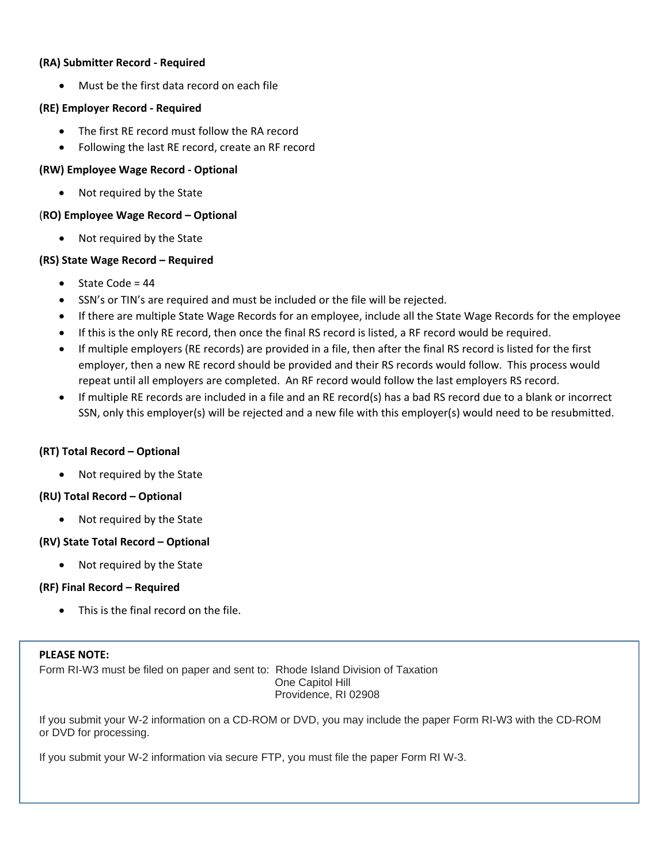#### **(RA) Submitter Record ‐ Required**

Must be the first data record on each file

#### **(RE) Employer Record ‐ Required**

- The first RE record must follow the RA record
- Following the last RE record, create an RF record

### **(RW) Employee Wage Record ‐ Optional**

Not required by the State

### (**RO) Employee Wage Record – Optional**

• Not required by the State

### **(RS) State Wage Record – Required**

- $\bullet$  State Code = 44
- SSN's or TIN's are required and must be included or the file will be rejected.
- If there are multiple State Wage Records for an employee, include all the State Wage Records for the employee
- If this is the only RE record, then once the final RS record is listed, a RF record would be required.
- If multiple employers (RE records) are provided in a file, then after the final RS record is listed for the first employer, then a new RE record should be provided and their RS records would follow. This process would repeat until all employers are completed. An RF record would follow the last employers RS record.
- If multiple RE records are included in a file and an RE record(s) has a bad RS record due to a blank or incorrect SSN, only this employer(s) will be rejected and a new file with this employer(s) would need to be resubmitted.

#### **(RT) Total Record – Optional**

• Not required by the State

#### **(RU) Total Record – Optional**

• Not required by the State

#### **(RV) State Total Record – Optional**

• Not required by the State

#### **(RF) Final Record – Required**

This is the final record on the file.

#### **PLEASE NOTE:**

Form RI-W3 must be filed on paper and sent to: Rhode Island Division of Taxation One Capitol Hill Providence, RI 02908

If you submit your W-2 information on a CD-ROM or DVD, you may include the paper Form RI-W3 with the CD-ROM or DVD for processing.

If you submit your W-2 information via secure FTP, you must file the paper Form RI W-3.